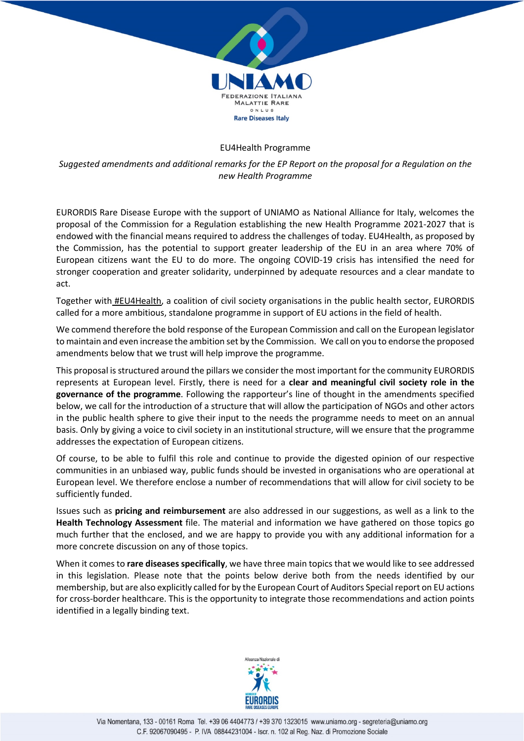

#### EU4Health Programme

*Suggested amendments and additional remarks for the EP Report on the proposal for a Regulation on the new Health Programme*

EURORDIS Rare Disease Europe with the support of UNIAMO as National Alliance for Italy, welcomes the proposal of the Commission for a Regulation establishing the new Health Programme 2021-2027 that is endowed with the financial means required to address the challenges of today. EU4Health, as proposed by the Commission, has the potential to support greater leadership of the EU in an area where 70% of European citizens want the EU to do more. The ongoing COVID-19 crisis has intensified the need for stronger cooperation and greater solidarity, underpinned by adequate resources and a clear mandate to act.

Together with **#EU4Health**, a coalition of civil society organisations in the public health sector, EURORDIS called for a more ambitious, standalone programme in support of EU actions in the field of health.

We commend therefore the bold response of the European Commission and call on the European legislator to maintain and even increase the ambition set by the Commission. We call on you to endorse the proposed amendments below that we trust will help improve the programme.

This proposal is structured around the pillars we consider the most important for the community EURORDIS represents at European level. Firstly, there is need for a **clear and meaningful civil society role in the governance of the programme**. Following the rapporteur's line of thought in the amendments specified below, we call for the introduction of a structure that will allow the participation of NGOs and other actors in the public health sphere to give their input to the needs the programme needs to meet on an annual basis. Only by giving a voice to civil society in an institutional structure, will we ensure that the programme addresses the expectation of European citizens.

Of course, to be able to fulfil this role and continue to provide the digested opinion of our respective communities in an unbiased way, public funds should be invested in organisations who are operational at European level. We therefore enclose a number of recommendations that will allow for civil society to be sufficiently funded.

Issues such as **pricing and reimbursement** are also addressed in our suggestions, as well as a link to the **Health Technology Assessment** file. The material and information we have gathered on those topics go much further that the enclosed, and we are happy to provide you with any additional information for a more concrete discussion on any of those topics.

When it comes to **rare diseases specifically**, we have three main topics that we would like to see addressed in this legislation. Please note that the points below derive both from the needs identified by our membership, but are also explicitly called for by the European Court of Auditors Special report on EU actions for cross-border healthcare. This is the opportunity to integrate those recommendations and action points identified in a legally binding text.

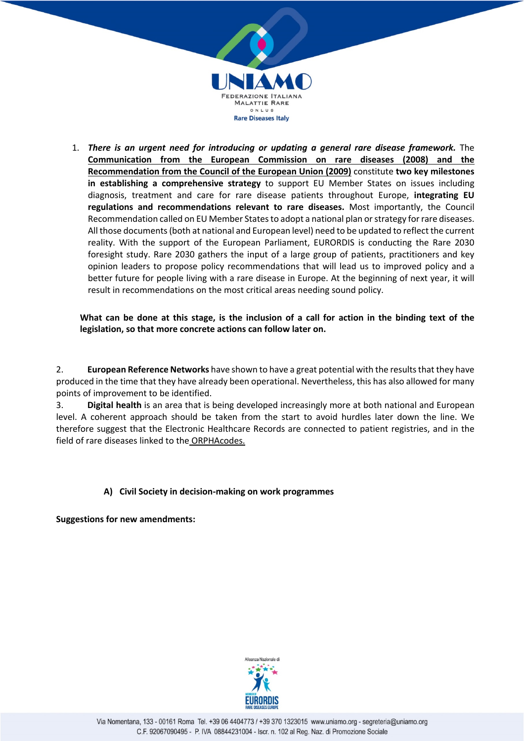

1. **There is an urgent need for introducing or updating a general rare disease framework.** The **Communication from the European Commission on rare diseases (2008) and the Recommendation from the Council of the European Union (2009)** constitute **two key milestones in establishing a comprehensive strategy** to support EU Member States on issues including diagnosis, treatment and care for rare disease patients throughout Europe, **integrating EU regulations and recommendations relevant to rare diseases.** Most importantly, the Council Recommendation called on EU Member States to adopt a national plan or strategy for rare diseases. All those documents (both at national and European level) need to be updated to reflect the current reality. With the support of the European Parliament, EURORDIS is conducting the Rare 2030 foresight study. Rare 2030 gathers the input of a large group of patients, practitioners and key opinion leaders to propose policy recommendations that will lead us to improved policy and a better future for people living with a rare disease in Europe. At the beginning of next year, it will result in recommendations on the most critical areas needing sound policy.

**What can be done at this stage, is the inclusion of a call for action in the binding text of the legislation, so that more concrete actions can follow later on.**

2. **European Reference Networks** have shown to have a great potential with the results that they have produced in the time that they have already been operational. Nevertheless, this has also allowed for many points of improvement to be identified.

3. **Digital health** is an area that is being developed increasingly more at both national and European level. A coherent approach should be taken from the start to avoid hurdles later down the line. We therefore suggest that the Electronic Healthcare Records are connected to patient registries, and in the field of rare diseases linked to the ORPHAcodes.

## **A) Civil Society in decision-making on work programmes**

**Suggestions for new amendments:**

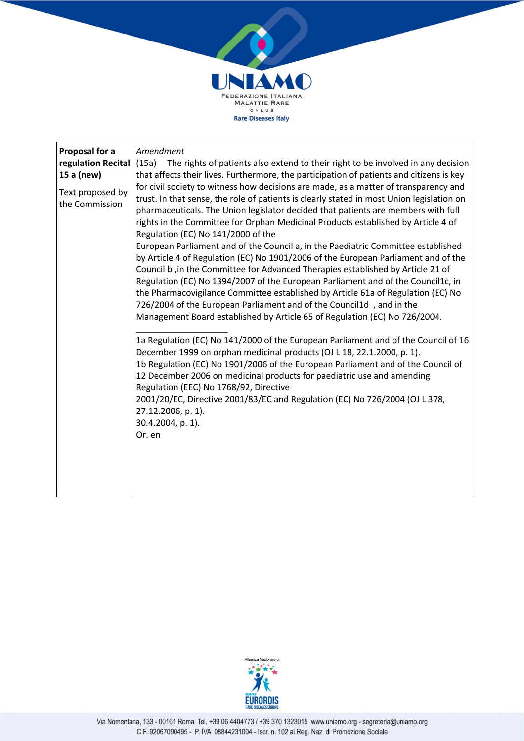

| Proposal for a     | Amendment                                                                                                               |
|--------------------|-------------------------------------------------------------------------------------------------------------------------|
| regulation Recital | (15a)<br>The rights of patients also extend to their right to be involved in any decision                               |
| 15 a (new)         | that affects their lives. Furthermore, the participation of patients and citizens is key                                |
|                    |                                                                                                                         |
| Text proposed by   | for civil society to witness how decisions are made, as a matter of transparency and                                    |
| the Commission     | trust. In that sense, the role of patients is clearly stated in most Union legislation on                               |
|                    | pharmaceuticals. The Union legislator decided that patients are members with full                                       |
|                    | rights in the Committee for Orphan Medicinal Products established by Article 4 of                                       |
|                    | Regulation (EC) No 141/2000 of the<br>European Parliament and of the Council a, in the Paediatric Committee established |
|                    | by Article 4 of Regulation (EC) No 1901/2006 of the European Parliament and of the                                      |
|                    | Council b, in the Committee for Advanced Therapies established by Article 21 of                                         |
|                    | Regulation (EC) No 1394/2007 of the European Parliament and of the Council1c, in                                        |
|                    | the Pharmacovigilance Committee established by Article 61a of Regulation (EC) No                                        |
|                    | 726/2004 of the European Parliament and of the Council1d, and in the                                                    |
|                    | Management Board established by Article 65 of Regulation (EC) No 726/2004.                                              |
|                    |                                                                                                                         |
|                    | 1a Regulation (EC) No 141/2000 of the European Parliament and of the Council of 16                                      |
|                    | December 1999 on orphan medicinal products (OJ L 18, 22.1.2000, p. 1).                                                  |
|                    | 1b Regulation (EC) No 1901/2006 of the European Parliament and of the Council of                                        |
|                    | 12 December 2006 on medicinal products for paediatric use and amending                                                  |
|                    | Regulation (EEC) No 1768/92, Directive                                                                                  |
|                    | 2001/20/EC, Directive 2001/83/EC and Regulation (EC) No 726/2004 (OJ L 378,                                             |
|                    | 27.12.2006, p. 1).                                                                                                      |
|                    | 30.4.2004, p. 1).                                                                                                       |
|                    | Or. en                                                                                                                  |
|                    |                                                                                                                         |
|                    |                                                                                                                         |
|                    |                                                                                                                         |
|                    |                                                                                                                         |
|                    |                                                                                                                         |

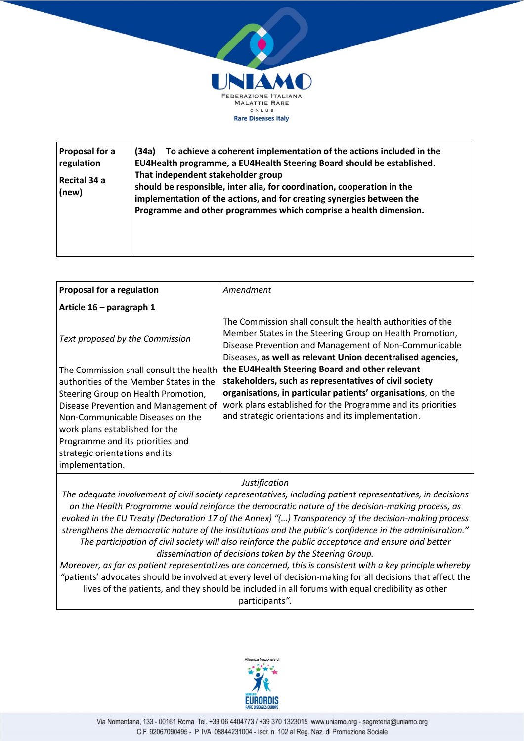

| <b>Proposal for a</b><br>regulation<br>Recital 34 a<br>(new) | To achieve a coherent implementation of the actions included in the<br>(34a)<br>EU4Health programme, a EU4Health Steering Board should be established.<br>That independent stakeholder group<br>should be responsible, inter alia, for coordination, cooperation in the<br>implementation of the actions, and for creating synergies between the<br>Programme and other programmes which comprise a health dimension. |
|--------------------------------------------------------------|-----------------------------------------------------------------------------------------------------------------------------------------------------------------------------------------------------------------------------------------------------------------------------------------------------------------------------------------------------------------------------------------------------------------------|
|--------------------------------------------------------------|-----------------------------------------------------------------------------------------------------------------------------------------------------------------------------------------------------------------------------------------------------------------------------------------------------------------------------------------------------------------------------------------------------------------------|

| <b>Proposal for a regulation</b>                                                                                                                                                      | Amendment                                                                                                                                                                                                                                      |
|---------------------------------------------------------------------------------------------------------------------------------------------------------------------------------------|------------------------------------------------------------------------------------------------------------------------------------------------------------------------------------------------------------------------------------------------|
| Article 16 - paragraph 1                                                                                                                                                              |                                                                                                                                                                                                                                                |
| Text proposed by the Commission                                                                                                                                                       | The Commission shall consult the health authorities of the<br>Member States in the Steering Group on Health Promotion,<br>Disease Prevention and Management of Non-Communicable<br>Diseases, as well as relevant Union decentralised agencies, |
| The Commission shall consult the health<br>authorities of the Member States in the                                                                                                    | the EU4Health Steering Board and other relevant<br>stakeholders, such as representatives of civil society                                                                                                                                      |
| Steering Group on Health Promotion,<br>Disease Prevention and Management of<br>Non-Communicable Diseases on the<br>work plans established for the<br>Programme and its priorities and | organisations, in particular patients' organisations, on the<br>work plans established for the Programme and its priorities<br>and strategic orientations and its implementation.                                                              |
| strategic orientations and its<br>implementation.                                                                                                                                     |                                                                                                                                                                                                                                                |

*The adequate involvement of civil society representatives, including patient representatives, in decisions on the Health Programme would reinforce the democratic nature of the decision-making process, as evoked in the EU Treaty (Declaration 17 of the Annex) "(…) Transparency of the decision-making process strengthens the democratic nature of the institutions and the public's confidence in the administration." The participation of civil society will also reinforce the public acceptance and ensure and better dissemination of decisions taken by the Steering Group.*

*Moreover, as far as patient representatives are concerned, this is consistent with a key principle whereby "*patients' advocates should be involved at every level of decision-making for all decisions that affect the lives of the patients, and they should be included in all forums with equal credibility as other participants*".*

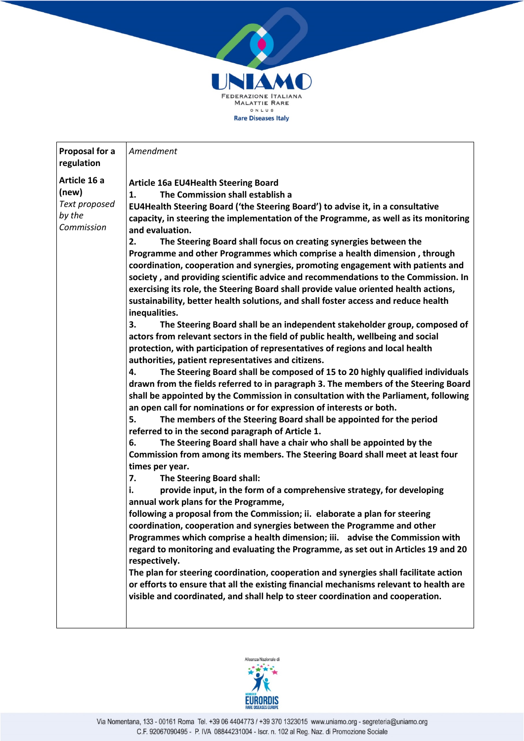

| Proposal for a<br>regulation                                   | Amendment                                                                                                                                                                                                                                                                                                                                                                                                                                                                                                                                                                                                                                                                                                                                                                                                                                                                                                                                                                                                                                                                                                                                                                                                                                                                                                                                                                                                                                                                                                                                                                                                                                                                                                                                                                                                                                                                                                                                                                                                                                                                                                                                                                                                                                                                                                                                                                                                                                                                                                                                                                            |
|----------------------------------------------------------------|--------------------------------------------------------------------------------------------------------------------------------------------------------------------------------------------------------------------------------------------------------------------------------------------------------------------------------------------------------------------------------------------------------------------------------------------------------------------------------------------------------------------------------------------------------------------------------------------------------------------------------------------------------------------------------------------------------------------------------------------------------------------------------------------------------------------------------------------------------------------------------------------------------------------------------------------------------------------------------------------------------------------------------------------------------------------------------------------------------------------------------------------------------------------------------------------------------------------------------------------------------------------------------------------------------------------------------------------------------------------------------------------------------------------------------------------------------------------------------------------------------------------------------------------------------------------------------------------------------------------------------------------------------------------------------------------------------------------------------------------------------------------------------------------------------------------------------------------------------------------------------------------------------------------------------------------------------------------------------------------------------------------------------------------------------------------------------------------------------------------------------------------------------------------------------------------------------------------------------------------------------------------------------------------------------------------------------------------------------------------------------------------------------------------------------------------------------------------------------------------------------------------------------------------------------------------------------------|
| Article 16 a<br>(new)<br>Text proposed<br>by the<br>Commission | <b>Article 16a EU4Health Steering Board</b><br>1.<br>The Commission shall establish a<br>EU4Health Steering Board ('the Steering Board') to advise it, in a consultative<br>capacity, in steering the implementation of the Programme, as well as its monitoring<br>and evaluation.<br>2.<br>The Steering Board shall focus on creating synergies between the<br>Programme and other Programmes which comprise a health dimension, through<br>coordination, cooperation and synergies, promoting engagement with patients and<br>society, and providing scientific advice and recommendations to the Commission. In<br>exercising its role, the Steering Board shall provide value oriented health actions,<br>sustainability, better health solutions, and shall foster access and reduce health<br>inequalities.<br>The Steering Board shall be an independent stakeholder group, composed of<br>3.<br>actors from relevant sectors in the field of public health, wellbeing and social<br>protection, with participation of representatives of regions and local health<br>authorities, patient representatives and citizens.<br>The Steering Board shall be composed of 15 to 20 highly qualified individuals<br>4.<br>drawn from the fields referred to in paragraph 3. The members of the Steering Board<br>shall be appointed by the Commission in consultation with the Parliament, following<br>an open call for nominations or for expression of interests or both.<br>5.<br>The members of the Steering Board shall be appointed for the period<br>referred to in the second paragraph of Article 1.<br>The Steering Board shall have a chair who shall be appointed by the<br>6.<br>Commission from among its members. The Steering Board shall meet at least four<br>times per year.<br>7.<br>The Steering Board shall:<br>i.<br>provide input, in the form of a comprehensive strategy, for developing<br>annual work plans for the Programme,<br>following a proposal from the Commission; ii. elaborate a plan for steering<br>coordination, cooperation and synergies between the Programme and other<br>Programmes which comprise a health dimension; iii. advise the Commission with<br>regard to monitoring and evaluating the Programme, as set out in Articles 19 and 20<br>respectively.<br>The plan for steering coordination, cooperation and synergies shall facilitate action<br>or efforts to ensure that all the existing financial mechanisms relevant to health are<br>visible and coordinated, and shall help to steer coordination and cooperation. |

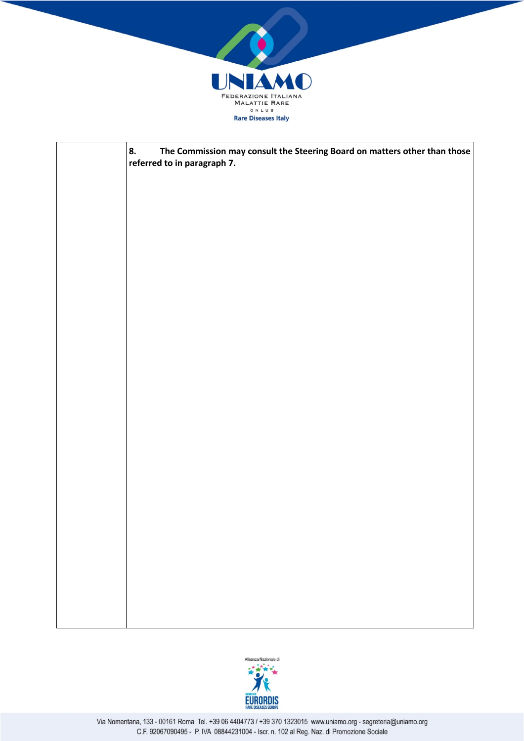

| 8.<br>The Commission may consult the Steering Board on matters other than those<br>referred to in paragraph 7. |
|----------------------------------------------------------------------------------------------------------------|
|                                                                                                                |
|                                                                                                                |
|                                                                                                                |
|                                                                                                                |
|                                                                                                                |
|                                                                                                                |
|                                                                                                                |
|                                                                                                                |
|                                                                                                                |
|                                                                                                                |
|                                                                                                                |
|                                                                                                                |
|                                                                                                                |
|                                                                                                                |
|                                                                                                                |
|                                                                                                                |
|                                                                                                                |

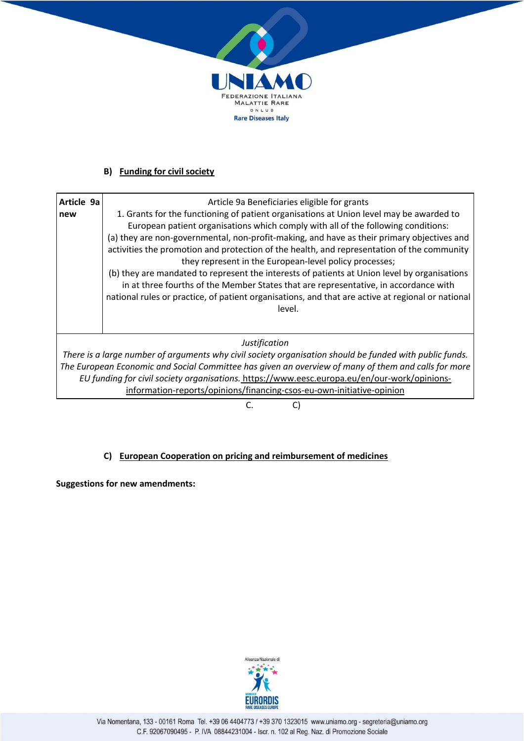

# **B) Funding for civil society**

| Article 9a<br>new                                                                                       | Article 9a Beneficiaries eligible for grants<br>1. Grants for the functioning of patient organisations at Union level may be awarded to                                              |  |
|---------------------------------------------------------------------------------------------------------|--------------------------------------------------------------------------------------------------------------------------------------------------------------------------------------|--|
|                                                                                                         | European patient organisations which comply with all of the following conditions:                                                                                                    |  |
|                                                                                                         | (a) they are non-governmental, non-profit-making, and have as their primary objectives and                                                                                           |  |
|                                                                                                         | activities the promotion and protection of the health, and representation of the community                                                                                           |  |
|                                                                                                         | they represent in the European-level policy processes;                                                                                                                               |  |
|                                                                                                         | (b) they are mandated to represent the interests of patients at Union level by organisations<br>in at three fourths of the Member States that are representative, in accordance with |  |
|                                                                                                         | national rules or practice, of patient organisations, and that are active at regional or national                                                                                    |  |
|                                                                                                         | level.                                                                                                                                                                               |  |
|                                                                                                         |                                                                                                                                                                                      |  |
|                                                                                                         |                                                                                                                                                                                      |  |
| Justification                                                                                           |                                                                                                                                                                                      |  |
| There is a large number of arguments why civil society organisation should be funded with public funds. |                                                                                                                                                                                      |  |
|                                                                                                         | The European Economic and Social Committee has given an overview of many of them and calls for more                                                                                  |  |

*EU funding for civil society organisations.* https://www.eesc.europa.eu/en/our-work/opinionsinformation-reports/opinions/financing-csos-eu-own-initiative-opinion

C. C)

# **C) European Cooperation on pricing and reimbursement of medicines**

**Suggestions for new amendments:**

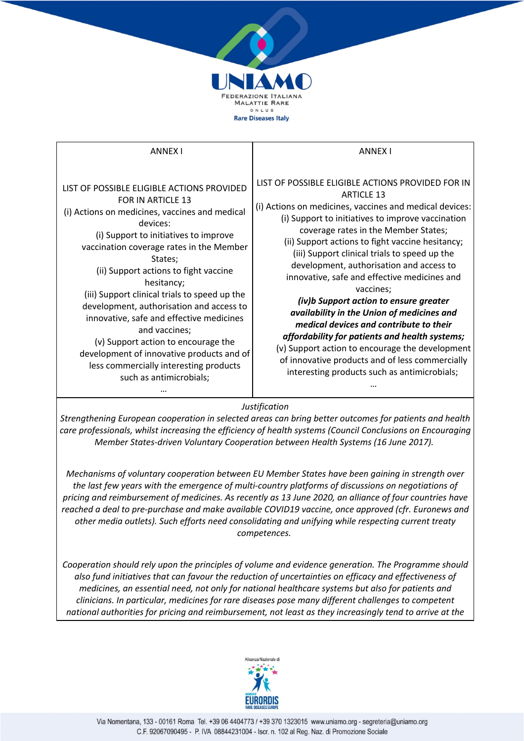

*Strengthening European cooperation in selected areas can bring better outcomes for patients and health care professionals, whilst increasing the efficiency of health systems (Council Conclusions on Encouraging Member States-driven Voluntary Cooperation between Health Systems (16 June 2017).*

*Mechanisms of voluntary cooperation between EU Member States have been gaining in strength over the last few years with the emergence of multi-country platforms of discussions on negotiations of pricing and reimbursement of medicines. As recently as 13 June 2020, an alliance of four countries have reached a deal to pre-purchase and make available COVID19 vaccine, once approved (cfr. Euronews and other media outlets). Such efforts need consolidating and unifying while respecting current treaty competences.*

*Cooperation should rely upon the principles of volume and evidence generation. The Programme should also fund initiatives that can favour the reduction of uncertainties on efficacy and effectiveness of medicines, an essential need, not only for national healthcare systems but also for patients and clinicians. In particular, medicines for rare diseases pose many different challenges to competent national authorities for pricing and reimbursement, not least as they increasingly tend to arrive at the* 

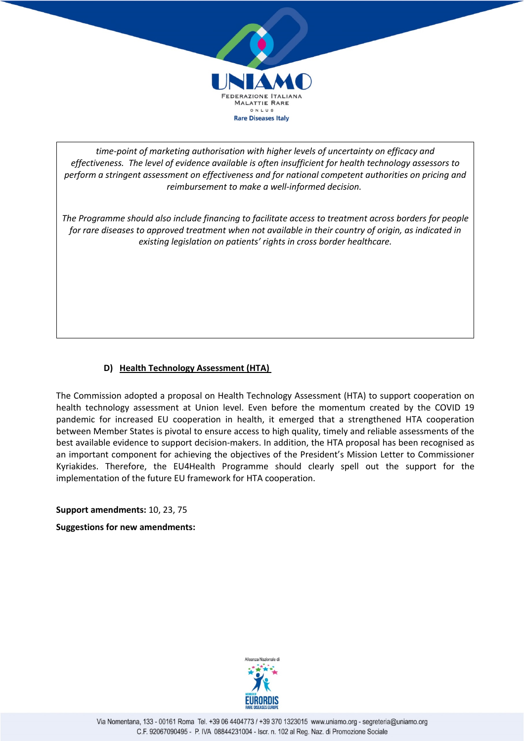

*time-point of marketing authorisation with higher levels of uncertainty on efficacy and effectiveness. The level of evidence available is often insufficient for health technology assessors to perform a stringent assessment on effectiveness and for national competent authorities on pricing and reimbursement to make a well-informed decision.*

*The Programme should also include financing to facilitate access to treatment across borders for people for rare diseases to approved treatment when not available in their country of origin, as indicated in existing legislation on patients' rights in cross border healthcare.*

# **D) Health Technology Assessment (HTA)**

The Commission adopted a proposal on Health Technology Assessment (HTA) to support cooperation on health technology assessment at Union level. Even before the momentum created by the COVID 19 pandemic for increased EU cooperation in health, it emerged that a strengthened HTA cooperation between Member States is pivotal to ensure access to high quality, timely and reliable assessments of the best available evidence to support decision-makers. In addition, the HTA proposal has been recognised as an important component for achieving the objectives of the President's Mission Letter to Commissioner Kyriakides. Therefore, the EU4Health Programme should clearly spell out the support for the implementation of the future EU framework for HTA cooperation.

**Support amendments:** 10, 23, 75 **Suggestions for new amendments:**

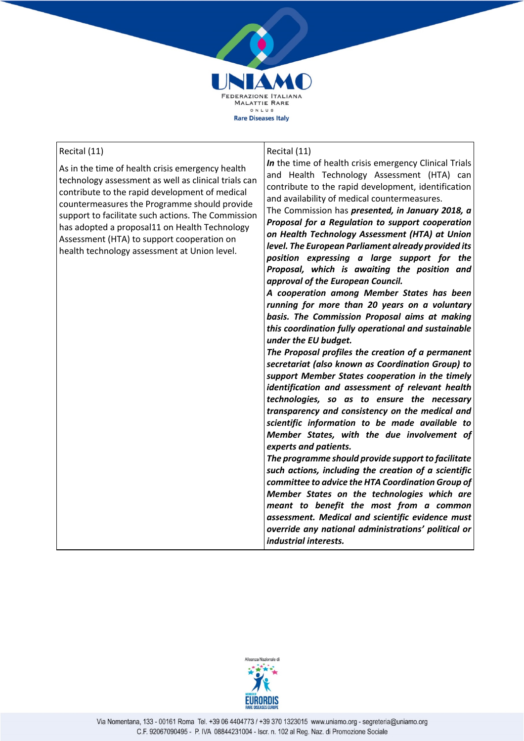

### Recital (11)

As in the time of health crisis emergency health technology assessment as well as clinical trials can contribute to the rapid development of medical countermeasures the Programme should provide support to facilitate such actions. The Commission has adopted a proposal11 on Health Technology Assessment (HTA) to support cooperation on health technology assessment at Union level.

#### Recital (11)

*In* the time of health crisis emergency Clinical Trials and Health Technology Assessment (HTA) can contribute to the rapid development, identification and availability of medical countermeasures.

The Commission has *presented, in January 2018, a Proposal for a Regulation to support cooperation on Health Technology Assessment (HTA) at Union level. The European Parliament already provided its position expressing a large support for the Proposal, which is awaiting the position and approval of the European Council.*

*A cooperation among Member States has been running for more than 20 years on a voluntary basis. The Commission Proposal aims at making this coordination fully operational and sustainable under the EU budget.*

*The Proposal profiles the creation of a permanent secretariat (also known as Coordination Group) to support Member States cooperation in the timely identification and assessment of relevant health technologies, so as to ensure the necessary transparency and consistency on the medical and scientific information to be made available to Member States, with the due involvement of experts and patients.*

*The programme should provide support to facilitate such actions, including the creation of a scientific committee to advice the HTA Coordination Group of Member States on the technologies which are meant to benefit the most from a common assessment. Medical and scientific evidence must override any national administrations' political or industrial interests.*

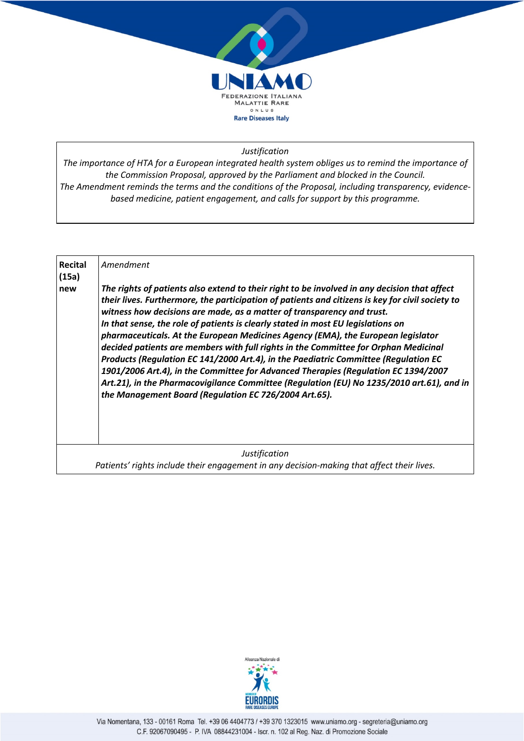

*The importance of HTA for a European integrated health system obliges us to remind the importance of the Commission Proposal, approved by the Parliament and blocked in the Council. The Amendment reminds the terms and the conditions of the Proposal, including transparency, evidencebased medicine, patient engagement, and calls for support by this programme.*

| Recital | Amendment                                                                                                                                                                                                                                                                                                                                                                                                                                                                                                                                                                                                                                                                                                                                                                                                                                                                    |
|---------|------------------------------------------------------------------------------------------------------------------------------------------------------------------------------------------------------------------------------------------------------------------------------------------------------------------------------------------------------------------------------------------------------------------------------------------------------------------------------------------------------------------------------------------------------------------------------------------------------------------------------------------------------------------------------------------------------------------------------------------------------------------------------------------------------------------------------------------------------------------------------|
| (15a)   |                                                                                                                                                                                                                                                                                                                                                                                                                                                                                                                                                                                                                                                                                                                                                                                                                                                                              |
| new     | The rights of patients also extend to their right to be involved in any decision that affect<br>their lives. Furthermore, the participation of patients and citizens is key for civil society to<br>witness how decisions are made, as a matter of transparency and trust.<br>In that sense, the role of patients is clearly stated in most EU legislations on<br>pharmaceuticals. At the European Medicines Agency (EMA), the European legislator<br>decided patients are members with full rights in the Committee for Orphan Medicinal<br>Products (Regulation EC 141/2000 Art.4), in the Paediatric Committee (Regulation EC<br>1901/2006 Art.4), in the Committee for Advanced Therapies (Regulation EC 1394/2007<br>Art.21), in the Pharmacovigilance Committee (Regulation (EU) No 1235/2010 art.61), and in<br>the Management Board (Regulation EC 726/2004 Art.65). |
|         |                                                                                                                                                                                                                                                                                                                                                                                                                                                                                                                                                                                                                                                                                                                                                                                                                                                                              |
|         | <b>Justification</b>                                                                                                                                                                                                                                                                                                                                                                                                                                                                                                                                                                                                                                                                                                                                                                                                                                                         |
|         | Patients' rights include their engagement in any decision-making that affect their lives.                                                                                                                                                                                                                                                                                                                                                                                                                                                                                                                                                                                                                                                                                                                                                                                    |

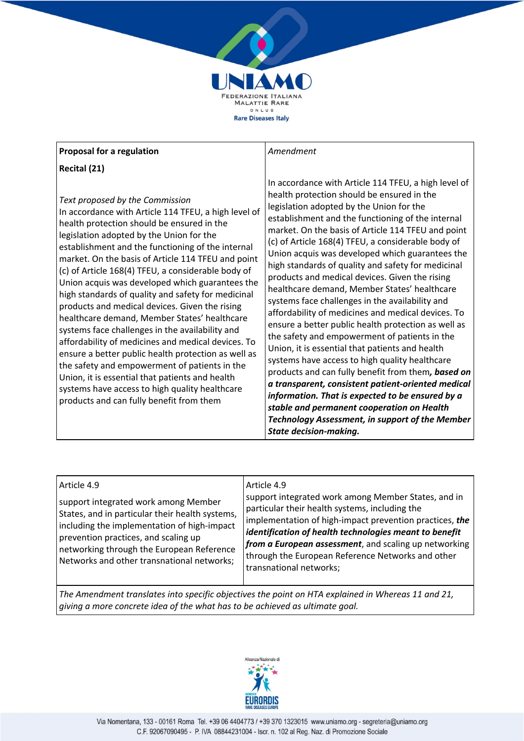

# **Proposal for a regulation**

**Recital (21)**

*Text proposed by the Commission* In accordance with Article 114 TFEU, a high level of health protection should be ensured in the legislation adopted by the Union for the establishment and the functioning of the internal market. On the basis of Article 114 TFEU and point (c) of Article 168(4) TFEU, a considerable body of Union acquis was developed which guarantees the high standards of quality and safety for medicinal products and medical devices. Given the rising healthcare demand, Member States' healthcare systems face challenges in the availability and affordability of medicines and medical devices. To ensure a better public health protection as well as the safety and empowerment of patients in the Union, it is essential that patients and health systems have access to high quality healthcare products and can fully benefit from them

## *Amendment*

In accordance with Article 114 TFEU, a high level of health protection should be ensured in the legislation adopted by the Union for the establishment and the functioning of the internal market. On the basis of Article 114 TFEU and point (c) of Article 168(4) TFEU, a considerable body of Union acquis was developed which guarantees the high standards of quality and safety for medicinal products and medical devices. Given the rising healthcare demand, Member States' healthcare systems face challenges in the availability and affordability of medicines and medical devices. To ensure a better public health protection as well as the safety and empowerment of patients in the Union, it is essential that patients and health systems have access to high quality healthcare products and can fully benefit from them*, based on a transparent, consistent patient-oriented medical information. That is expected to be ensured by a stable and permanent cooperation on Health Technology Assessment, in support of the Member State decision-making.*

| Article 4.9<br>support integrated work among Member<br>States, and in particular their health systems,<br>including the implementation of high-impact<br>prevention practices, and scaling up<br>networking through the European Reference<br>Networks and other transnational networks; | Article 4.9<br>support integrated work among Member States, and in<br>particular their health systems, including the<br>implementation of high-impact prevention practices, the<br>identification of health technologies meant to benefit<br>from a European assessment, and scaling up networking<br>through the European Reference Networks and other<br>transnational networks; |
|------------------------------------------------------------------------------------------------------------------------------------------------------------------------------------------------------------------------------------------------------------------------------------------|------------------------------------------------------------------------------------------------------------------------------------------------------------------------------------------------------------------------------------------------------------------------------------------------------------------------------------------------------------------------------------|
|                                                                                                                                                                                                                                                                                          |                                                                                                                                                                                                                                                                                                                                                                                    |

*The Amendment translates into specific objectives the point on HTA explained in Whereas 11 and 21, giving a more concrete idea of the what has to be achieved as ultimate goal.*

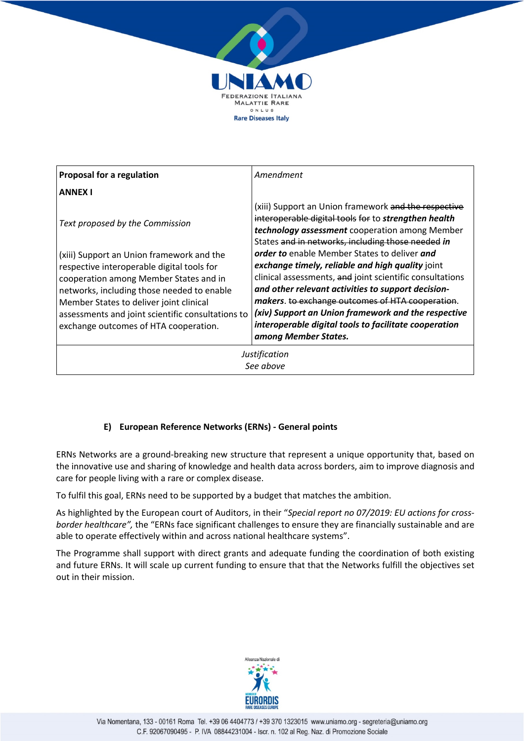

| <b>Proposal for a regulation</b>                  | Amendment                                                                                                                                                                                                           |
|---------------------------------------------------|---------------------------------------------------------------------------------------------------------------------------------------------------------------------------------------------------------------------|
| <b>ANNEX I</b>                                    |                                                                                                                                                                                                                     |
| Text proposed by the Commission                   | (xiii) Support an Union framework and the respective<br>interoperable digital tools for to strengthen health<br>technology assessment cooperation among Member<br>States and in networks, including those needed in |
| (xiii) Support an Union framework and the         | order to enable Member States to deliver and                                                                                                                                                                        |
| respective interoperable digital tools for        | exchange timely, reliable and high quality joint                                                                                                                                                                    |
| cooperation among Member States and in            | clinical assessments, and joint scientific consultations                                                                                                                                                            |
| networks, including those needed to enable        | and other relevant activities to support decision-                                                                                                                                                                  |
| Member States to deliver joint clinical           | makers. to exchange outcomes of HTA cooperation.                                                                                                                                                                    |
| assessments and joint scientific consultations to | (xiv) Support an Union framework and the respective                                                                                                                                                                 |
| exchange outcomes of HTA cooperation.             | interoperable digital tools to facilitate cooperation<br>among Member States.                                                                                                                                       |
| Justification                                     |                                                                                                                                                                                                                     |

*See above*

# **E) European Reference Networks (ERNs) - General points**

ERNs Networks are a ground-breaking new structure that represent a unique opportunity that, based on the innovative use and sharing of knowledge and health data across borders, aim to improve diagnosis and care for people living with a rare or complex disease.

To fulfil this goal, ERNs need to be supported by a budget that matches the ambition.

As highlighted by the European court of Auditors, in their "*Special report no 07/2019: EU actions for crossborder healthcare",* the "ERNs face significant challenges to ensure they are financially sustainable and are able to operate effectively within and across national healthcare systems".

The Programme shall support with direct grants and adequate funding the coordination of both existing and future ERNs. It will scale up current funding to ensure that that the Networks fulfill the objectives set out in their mission.

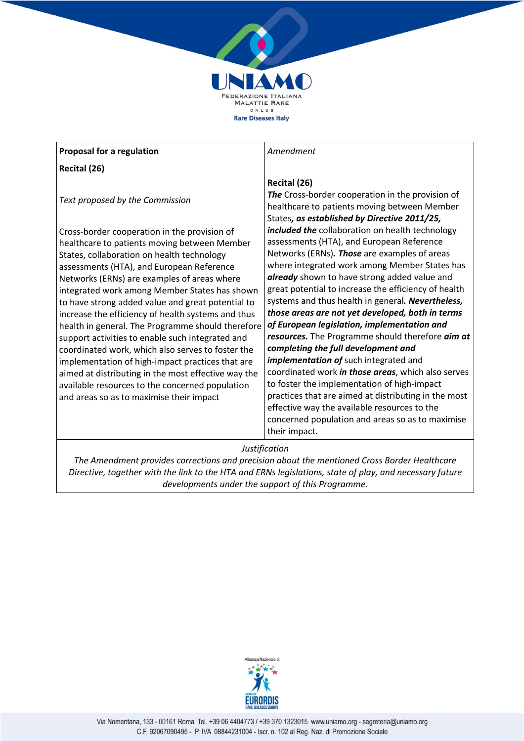

# **Proposal for a regulation**

**Recital (26)**

*Text proposed by the Commission*

Cross-border cooperation in the provision of healthcare to patients moving between Member States, collaboration on health technology assessments (HTA), and European Reference Networks (ERNs) are examples of areas where integrated work among Member States has shown to have strong added value and great potential to increase the efficiency of health systems and thus health in general. The Programme should therefore support activities to enable such integrated and coordinated work, which also serves to foster the implementation of high-impact practices that are aimed at distributing in the most effective way the available resources to the concerned population and areas so as to maximise their impact

*Amendment*

# **Recital (26)**

*The* Cross-border cooperation in the provision of healthcare to patients moving between Member States*, as established by Directive 2011/25, included the* collaboration on health technology assessments (HTA), and European Reference Networks (ERNs)*. Those* are examples of areas where integrated work among Member States has *already* shown to have strong added value and great potential to increase the efficiency of health systems and thus health in general*. Nevertheless, those areas are not yet developed, both in terms of European legislation, implementation and resources.* The Programme should therefore *aim at completing the full development and implementation of* such integrated and coordinated work *in those areas*, which also serves to foster the implementation of high-impact practices that are aimed at distributing in the most effective way the available resources to the concerned population and areas so as to maximise their impact.

# *Justification*

*The Amendment provides corrections and precision about the mentioned Cross Border Healthcare Directive, together with the link to the HTA and ERNs legislations, state of play, and necessary future developments under the support of this Programme.*

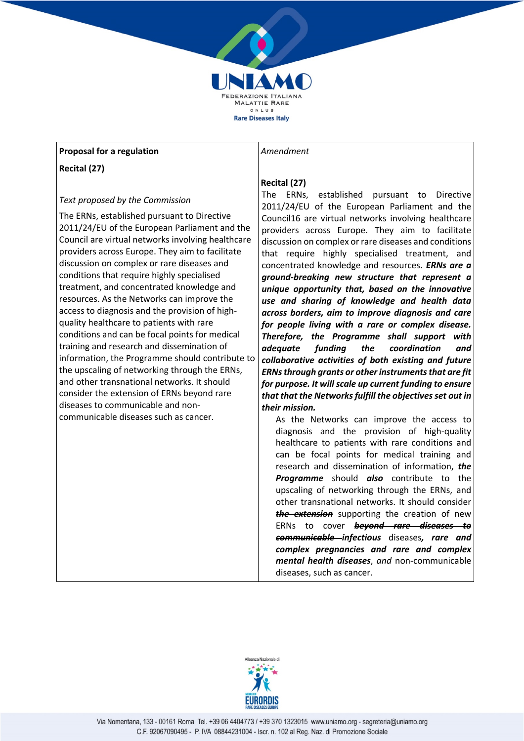

## **Proposal for a regulation**

**Recital (27)**

## *Text proposed by the Commission*

The ERNs, established pursuant to Directive 2011/24/EU of the European Parliament and the Council are virtual networks involving healthcare providers across Europe. They aim to facilitate discussion on complex or rare diseases and conditions that require highly specialised treatment, and concentrated knowledge and resources. As the Networks can improve the access to diagnosis and the provision of highquality healthcare to patients with rare conditions and can be focal points for medical training and research and dissemination of information, the Programme should contribute to the upscaling of networking through the ERNs, and other transnational networks. It should consider the extension of ERNs beyond rare diseases to communicable and noncommunicable diseases such as cancer.

### *Amendment*

# **Recital (27)**

The ERNs, established pursuant to Directive 2011/24/EU of the European Parliament and the Council16 are virtual networks involving healthcare providers across Europe. They aim to facilitate discussion on complex or rare diseases and conditions that require highly specialised treatment, and concentrated knowledge and resources. *ERNs are a ground-breaking new structure that represent a unique opportunity that, based on the innovative use and sharing of knowledge and health data across borders, aim to improve diagnosis and care for people living with a rare or complex disease. Therefore, the Programme shall support with adequate funding the coordination and collaborative activities of both existing and future ERNs through grants or other instruments that are fit for purpose. It will scale up current funding to ensure that that the Networks fulfill the objectives set out in their mission.*

As the Networks can improve the access to diagnosis and the provision of high-quality healthcare to patients with rare conditions and can be focal points for medical training and research and dissemination of information, *the Programme* should *also* contribute to the upscaling of networking through the ERNs, and other transnational networks. It should consider *the extension* supporting the creation of new ERNs to cover *beyond rare diseases to communicable infectious* diseases*, rare and complex pregnancies and rare and complex mental health diseases*, *and* non-communicable diseases, such as cancer.

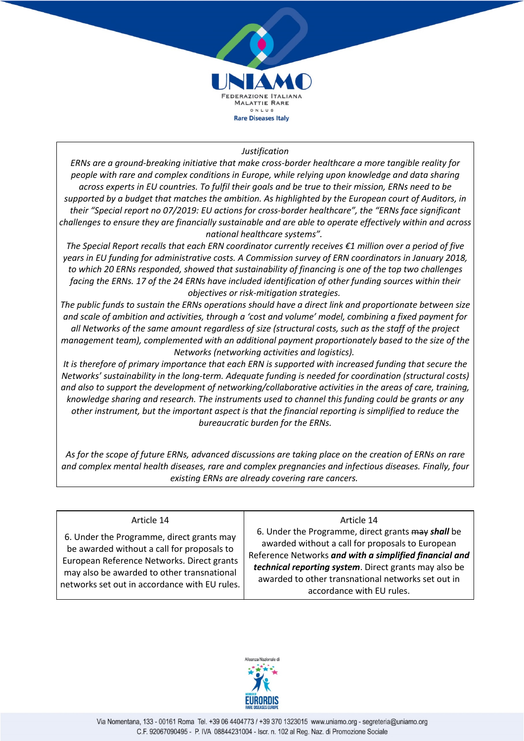

*ERNs are a ground-breaking initiative that make cross-border healthcare a more tangible reality for people with rare and complex conditions in Europe, while relying upon knowledge and data sharing across experts in EU countries. To fulfil their goals and be true to their mission, ERNs need to be supported by a budget that matches the ambition. As highlighted by the European court of Auditors, in their "Special report no 07/2019: EU actions for cross-border healthcare", the "ERNs face significant challenges to ensure they are financially sustainable and are able to operate effectively within and across national healthcare systems".*

*The Special Report recalls that each ERN coordinator currently receives €1 million over a period of five years in EU funding for administrative costs. A Commission survey of ERN coordinators in January 2018, to which 20 ERNs responded, showed that sustainability of financing is one of the top two challenges facing the ERNs. 17 of the 24 ERNs have included identification of other funding sources within their objectives or risk-mitigation strategies.*

*The public funds to sustain the ERNs operations should have a direct link and proportionate between size and scale of ambition and activities, through a 'cost and volume' model, combining a fixed payment for all Networks of the same amount regardless of size (structural costs, such as the staff of the project management team), complemented with an additional payment proportionately based to the size of the Networks (networking activities and logistics).*

*It is therefore of primary importance that each ERN is supported with increased funding that secure the Networks' sustainability in the long-term. Adequate funding is needed for coordination (structural costs) and also to support the development of networking/collaborative activities in the areas of care, training, knowledge sharing and research. The instruments used to channel this funding could be grants or any other instrument, but the important aspect is that the financial reporting is simplified to reduce the bureaucratic burden for the ERNs.*

*As for the scope of future ERNs, advanced discussions are taking place on the creation of ERNs on rare and complex mental health diseases, rare and complex pregnancies and infectious diseases. Finally, four existing ERNs are already covering rare cancers.*

# Article 14

6. Under the Programme, direct grants may be awarded without a call for proposals to European Reference Networks. Direct grants may also be awarded to other transnational networks set out in accordance with EU rules.

#### Article 14

6. Under the Programme, direct grants may *shall* be awarded without a call for proposals to European Reference Networks *and with a simplified financial and technical reporting system*. Direct grants may also be awarded to other transnational networks set out in accordance with EU rules.

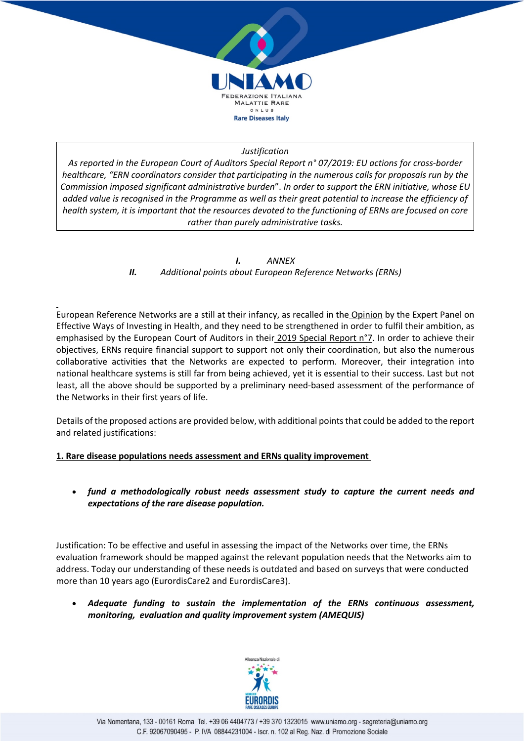

*As reported in the European Court of Auditors Special Report n° 07/2019: EU actions for cross-border healthcare, "ERN coordinators consider that participating in the numerous calls for proposals run by the Commission imposed significant administrative burden*". *In order to support the ERN initiative, whose EU added value is recognised in the Programme as well as their great potential to increase the efficiency of health system, it is important that the resources devoted to the functioning of ERNs are focused on core rather than purely administrative tasks.*

> *I. ANNEX II. Additional points about European Reference Networks (ERNs)*

European Reference Networks are a still at their infancy, as recalled in the Opinion by the Expert Panel on Effective Ways of Investing in Health, and they need to be strengthened in order to fulfil their ambition, as emphasised by the European Court of Auditors in their 2019 Special Report n°7. In order to achieve their objectives, ERNs require financial support to support not only their coordination, but also the numerous collaborative activities that the Networks are expected to perform. Moreover, their integration into national healthcare systems is still far from being achieved, yet it is essential to their success. Last but not least, all the above should be supported by a preliminary need-based assessment of the performance of the Networks in their first years of life.

Details of the proposed actions are provided below, with additional points that could be added to the report and related justifications:

## **1. Rare disease populations needs assessment and ERNs quality improvement**

• *fund a methodologically robust needs assessment study to capture the current needs and expectations of the rare disease population.*

Justification: To be effective and useful in assessing the impact of the Networks over time, the ERNs evaluation framework should be mapped against the relevant population needs that the Networks aim to address. Today our understanding of these needs is outdated and based on surveys that were conducted more than 10 years ago (EurordisCare2 and EurordisCare3).

• *Adequate funding to sustain the implementation of the ERNs continuous assessment, monitoring, evaluation and quality improvement system (AMEQUIS)*

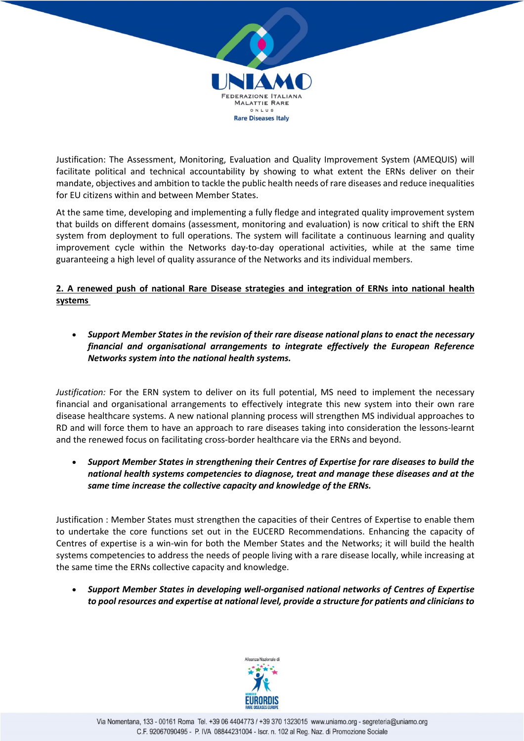

Justification: The Assessment, Monitoring, Evaluation and Quality Improvement System (AMEQUIS) will facilitate political and technical accountability by showing to what extent the ERNs deliver on their mandate, objectives and ambition to tackle the public health needs of rare diseases and reduce inequalities for EU citizens within and between Member States.

At the same time, developing and implementing a fully fledge and integrated quality improvement system that builds on different domains (assessment, monitoring and evaluation) is now critical to shift the ERN system from deployment to full operations. The system will facilitate a continuous learning and quality improvement cycle within the Networks day-to-day operational activities, while at the same time guaranteeing a high level of quality assurance of the Networks and its individual members.

# **2. A renewed push of national Rare Disease strategies and integration of ERNs into national health systems**

• *Support Member States in the revision of their rare disease national plans to enact the necessary financial and organisational arrangements to integrate effectively the European Reference Networks system into the national health systems.*

*Justification:* For the ERN system to deliver on its full potential, MS need to implement the necessary financial and organisational arrangements to effectively integrate this new system into their own rare disease healthcare systems. A new national planning process will strengthen MS individual approaches to RD and will force them to have an approach to rare diseases taking into consideration the lessons-learnt and the renewed focus on facilitating cross-border healthcare via the ERNs and beyond.

• *Support Member States in strengthening their Centres of Expertise for rare diseases to build the national health systems competencies to diagnose, treat and manage these diseases and at the same time increase the collective capacity and knowledge of the ERNs.*

Justification : Member States must strengthen the capacities of their Centres of Expertise to enable them to undertake the core functions set out in the EUCERD Recommendations. Enhancing the capacity of Centres of expertise is a win-win for both the Member States and the Networks; it will build the health systems competencies to address the needs of people living with a rare disease locally, while increasing at the same time the ERNs collective capacity and knowledge.

• *Support Member States in developing well-organised national networks of Centres of Expertise to pool resources and expertise at national level, provide a structure for patients and clinicians to* 

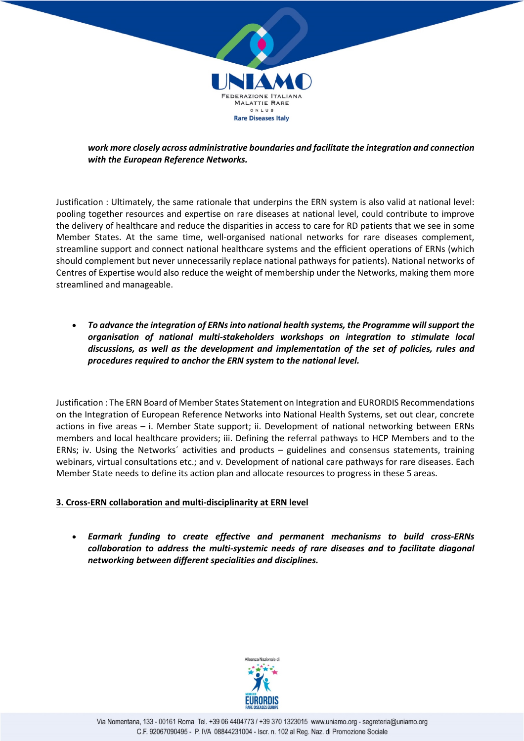

*work more closely across administrative boundaries and facilitate the integration and connection with the European Reference Networks.*

Justification : Ultimately, the same rationale that underpins the ERN system is also valid at national level: pooling together resources and expertise on rare diseases at national level, could contribute to improve the delivery of healthcare and reduce the disparities in access to care for RD patients that we see in some Member States. At the same time, well-organised national networks for rare diseases complement, streamline support and connect national healthcare systems and the efficient operations of ERNs (which should complement but never unnecessarily replace national pathways for patients). National networks of Centres of Expertise would also reduce the weight of membership under the Networks, making them more streamlined and manageable.

• *To advance the integration of ERNs into national health systems, the Programme will support the organisation of national multi-stakeholders workshops on integration to stimulate local discussions, as well as the development and implementation of the set of policies, rules and procedures required to anchor the ERN system to the national level.*

Justification : The ERN Board of Member States Statement on Integration and EURORDIS Recommendations on the Integration of European Reference Networks into National Health Systems, set out clear, concrete actions in five areas – i. Member State support; ii. Development of national networking between ERNs members and local healthcare providers; iii. Defining the referral pathways to HCP Members and to the ERNs; iv. Using the Networks´ activities and products – guidelines and consensus statements, training webinars, virtual consultations etc.; and v. Development of national care pathways for rare diseases. Each Member State needs to define its action plan and allocate resources to progress in these 5 areas.

# **3. Cross-ERN collaboration and multi-disciplinarity at ERN level**

• *Earmark funding to create effective and permanent mechanisms to build cross-ERNs collaboration to address the multi-systemic needs of rare diseases and to facilitate diagonal networking between different specialities and disciplines.*

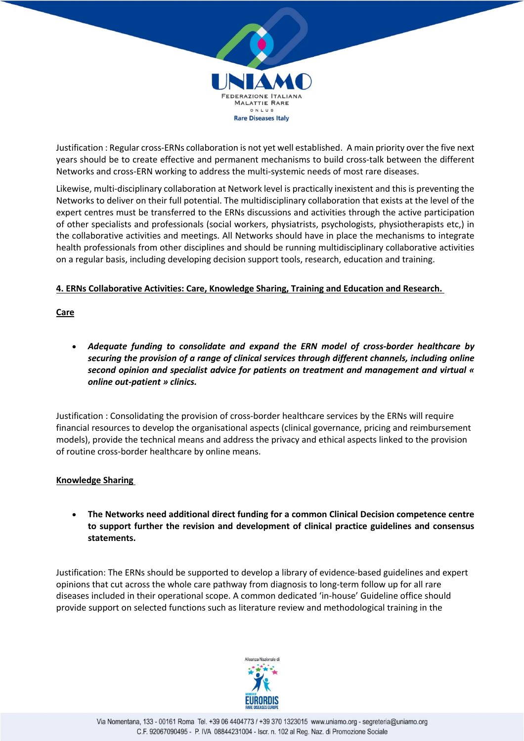

Justification : Regular cross-ERNs collaboration is not yet well established. A main priority over the five next years should be to create effective and permanent mechanisms to build cross-talk between the different Networks and cross-ERN working to address the multi-systemic needs of most rare diseases.

Likewise, multi-disciplinary collaboration at Network level is practically inexistent and this is preventing the Networks to deliver on their full potential. The multidisciplinary collaboration that exists at the level of the expert centres must be transferred to the ERNs discussions and activities through the active participation of other specialists and professionals (social workers, physiatrists, psychologists, physiotherapists etc,) in the collaborative activities and meetings. All Networks should have in place the mechanisms to integrate health professionals from other disciplines and should be running multidisciplinary collaborative activities on a regular basis, including developing decision support tools, research, education and training.

## **4. ERNs Collaborative Activities: Care, Knowledge Sharing, Training and Education and Research.**

**Care**

• *Adequate funding to consolidate and expand the ERN model of cross-border healthcare by securing the provision of a range of clinical services through different channels, including online second opinion and specialist advice for patients on treatment and management and virtual « online out-patient » clinics.*

Justification : Consolidating the provision of cross-border healthcare services by the ERNs will require financial resources to develop the organisational aspects (clinical governance, pricing and reimbursement models), provide the technical means and address the privacy and ethical aspects linked to the provision of routine cross-border healthcare by online means.

## **Knowledge Sharing**

• **The Networks need additional direct funding for a common Clinical Decision competence centre to support further the revision and development of clinical practice guidelines and consensus statements.**

Justification: The ERNs should be supported to develop a library of evidence-based guidelines and expert opinions that cut across the whole care pathway from diagnosis to long-term follow up for all rare diseases included in their operational scope. A common dedicated 'in-house' Guideline office should provide support on selected functions such as literature review and methodological training in the

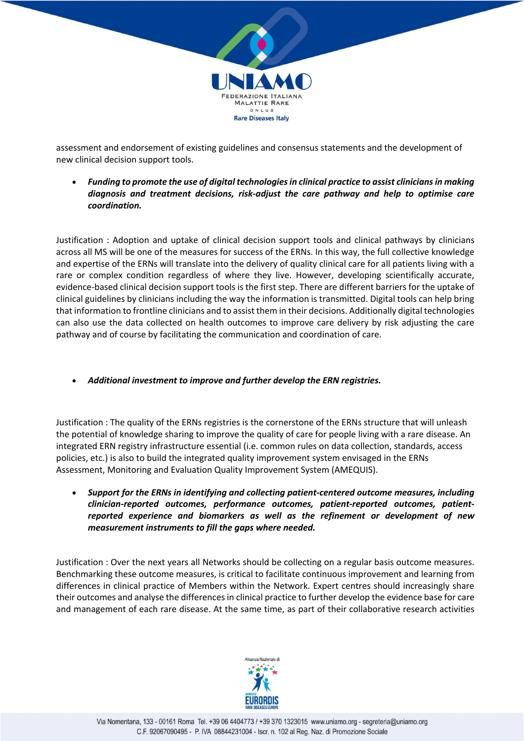

assessment and endorsement of existing guidelines and consensus statements and the development of new clinical decision support tools.

• *Funding to promote the use of digital technologies in clinical practice to assist clinicians in making diagnosis and treatment decisions, risk-adjust the care pathway and help to optimise care coordination.*

Justification : Adoption and uptake of clinical decision support tools and clinical pathways by clinicians across all MS will be one of the measures for success of the ERNs. In this way, the full collective knowledge and expertise of the ERNs will translate into the delivery of quality clinical care for all patients living with a rare or complex condition regardless of where they live. However, developing scientifically accurate, evidence-based clinical decision support tools is the first step. There are different barriers for the uptake of clinical guidelines by clinicians including the way the information is transmitted. Digital tools can help bring that information to frontline clinicians and to assist them in their decisions. Additionally digital technologies can also use the data collected on health outcomes to improve care delivery by risk adjusting the care pathway and of course by facilitating the communication and coordination of care.

• *Additional investment to improve and further develop the ERN registries.*

Justification : The quality of the ERNs registries is the cornerstone of the ERNs structure that will unleash the potential of knowledge sharing to improve the quality of care for people living with a rare disease. An integrated ERN registry infrastructure essential (i.e. common rules on data collection, standards, access policies, etc.) is also to build the integrated quality improvement system envisaged in the ERNs Assessment, Monitoring and Evaluation Quality Improvement System (AMEQUIS).

• *Support for the ERNs in identifying and collecting patient-centered outcome measures, including clinician-reported outcomes, performance outcomes, patient-reported outcomes, patientreported experience and biomarkers as well as the refinement or development of new measurement instruments to fill the gaps where needed.*

Justification : Over the next years all Networks should be collecting on a regular basis outcome measures. Benchmarking these outcome measures, is critical to facilitate continuous improvement and learning from differences in clinical practice of Members within the Network. Expert centres should increasingly share their outcomes and analyse the differences in clinical practice to further develop the evidence base for care and management of each rare disease. At the same time, as part of their collaborative research activities

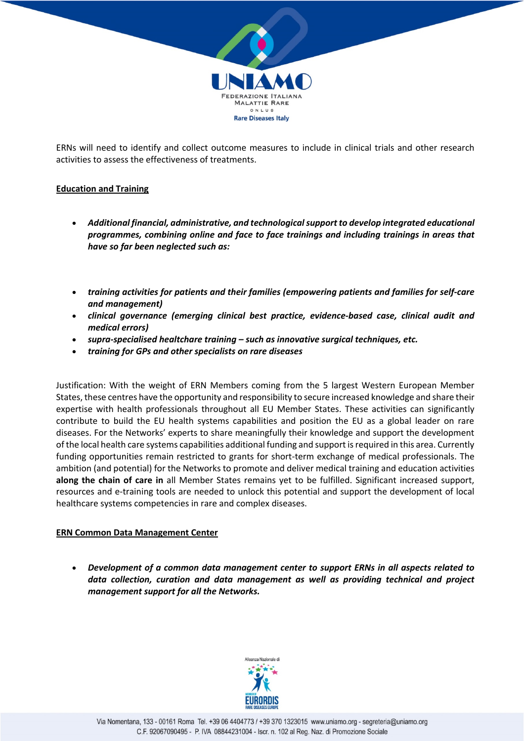

ERNs will need to identify and collect outcome measures to include in clinical trials and other research activities to assess the effectiveness of treatments.

## **Education and Training**

- *Additional financial, administrative, and technological support to develop integrated educational programmes, combining online and face to face trainings and including trainings in areas that have so far been neglected such as:*
- *training activities for patients and their families (empowering patients and families for self-care and management)*
- *clinical governance (emerging clinical best practice, evidence-based case, clinical audit and medical errors)*
- *supra-specialised healtchare training – such as innovative surgical techniques, etc.*
- *training for GPs and other specialists on rare diseases*

Justification: With the weight of ERN Members coming from the 5 largest Western European Member States, these centres have the opportunity and responsibility to secure increased knowledge and share their expertise with health professionals throughout all EU Member States. These activities can significantly contribute to build the EU health systems capabilities and position the EU as a global leader on rare diseases. For the Networks' experts to share meaningfully their knowledge and support the development of the local health care systems capabilities additional funding and support is required in this area. Currently funding opportunities remain restricted to grants for short-term exchange of medical professionals. The ambition (and potential) for the Networks to promote and deliver medical training and education activities **along the chain of care in** all Member States remains yet to be fulfilled. Significant increased support, resources and e-training tools are needed to unlock this potential and support the development of local healthcare systems competencies in rare and complex diseases.

#### **ERN Common Data Management Center**

• *Development of a common data management center to support ERNs in all aspects related to data collection, curation and data management as well as providing technical and project management support for all the Networks.*

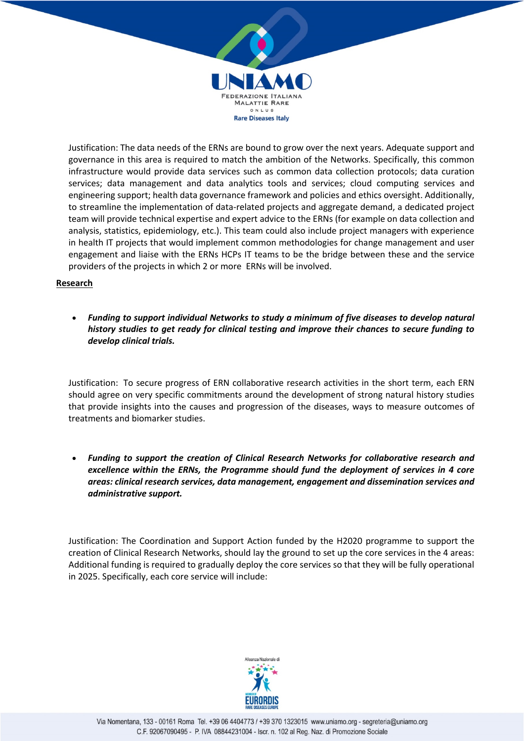

Justification: The data needs of the ERNs are bound to grow over the next years. Adequate support and governance in this area is required to match the ambition of the Networks. Specifically, this common infrastructure would provide data services such as common data collection protocols; data curation services; data management and data analytics tools and services; cloud computing services and engineering support; health data governance framework and policies and ethics oversight. Additionally, to streamline the implementation of data-related projects and aggregate demand, a dedicated project team will provide technical expertise and expert advice to the ERNs (for example on data collection and analysis, statistics, epidemiology, etc.). This team could also include project managers with experience in health IT projects that would implement common methodologies for change management and user engagement and liaise with the ERNs HCPs IT teams to be the bridge between these and the service providers of the projects in which 2 or more ERNs will be involved.

## **Research**

• *Funding to support individual Networks to study a minimum of five diseases to develop natural history studies to get ready for clinical testing and improve their chances to secure funding to develop clinical trials.*

Justification: To secure progress of ERN collaborative research activities in the short term, each ERN should agree on very specific commitments around the development of strong natural history studies that provide insights into the causes and progression of the diseases, ways to measure outcomes of treatments and biomarker studies.

• *Funding to support the creation of Clinical Research Networks for collaborative research and excellence within the ERNs, the Programme should fund the deployment of services in 4 core areas: clinical research services, data management, engagement and dissemination services and administrative support.*

Justification: The Coordination and Support Action funded by the H2020 programme to support the creation of Clinical Research Networks, should lay the ground to set up the core services in the 4 areas: Additional funding is required to gradually deploy the core services so that they will be fully operational in 2025. Specifically, each core service will include: